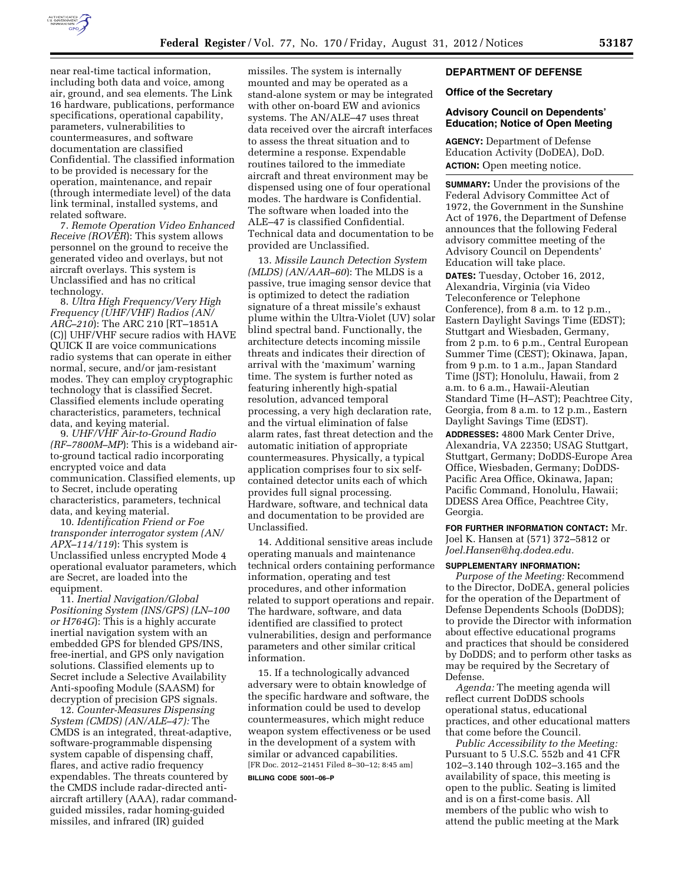

near real-time tactical information, including both data and voice, among air, ground, and sea elements. The Link 16 hardware, publications, performance specifications, operational capability, parameters, vulnerabilities to countermeasures, and software documentation are classified Confidential. The classified information to be provided is necessary for the operation, maintenance, and repair (through intermediate level) of the data link terminal, installed systems, and related software.

7. *Remote Operation Video Enhanced Receive (ROVER*): This system allows personnel on the ground to receive the generated video and overlays, but not aircraft overlays. This system is Unclassified and has no critical technology.

8. *Ultra High Frequency/Very High Frequency (UHF/VHF) Radios (AN/ ARC–210*): The ARC 210 [RT–1851A (C)] UHF/VHF secure radios with HAVE QUICK II are voice communications radio systems that can operate in either normal, secure, and/or jam-resistant modes. They can employ cryptographic technology that is classified Secret. Classified elements include operating characteristics, parameters, technical data, and keying material.

9. *UHF/VHF Air-to-Ground Radio (RF–7800M–MP*): This is a wideband airto-ground tactical radio incorporating encrypted voice and data communication. Classified elements, up to Secret, include operating characteristics, parameters, technical data, and keying material.

10. *Identification Friend or Foe transponder interrogator system (AN/ APX–114/119*): This system is Unclassified unless encrypted Mode 4 operational evaluator parameters, which are Secret, are loaded into the equipment.

11. *Inertial Navigation/Global Positioning System (INS/GPS) (LN–100 or H764G*): This is a highly accurate inertial navigation system with an embedded GPS for blended GPS/INS, free-inertial, and GPS only navigation solutions. Classified elements up to Secret include a Selective Availability Anti-spoofing Module (SAASM) for decryption of precision GPS signals.

12. *Counter-Measures Dispensing System (CMDS) (AN/ALE–47):* The CMDS is an integrated, threat-adaptive, software-programmable dispensing system capable of dispensing chaff, flares, and active radio frequency expendables. The threats countered by the CMDS include radar-directed antiaircraft artillery (AAA), radar commandguided missiles, radar homing-guided missiles, and infrared (IR) guided

missiles. The system is internally mounted and may be operated as a stand-alone system or may be integrated with other on-board EW and avionics systems. The AN/ALE–47 uses threat data received over the aircraft interfaces to assess the threat situation and to determine a response. Expendable routines tailored to the immediate aircraft and threat environment may be dispensed using one of four operational modes. The hardware is Confidential. The software when loaded into the ALE–47 is classified Confidential. Technical data and documentation to be provided are Unclassified.

13. *Missile Launch Detection System (MLDS) (AN/AAR–60*): The MLDS is a passive, true imaging sensor device that is optimized to detect the radiation signature of a threat missile's exhaust plume within the Ultra-Violet (UV) solar blind spectral band. Functionally, the architecture detects incoming missile threats and indicates their direction of arrival with the 'maximum' warning time. The system is further noted as featuring inherently high-spatial resolution, advanced temporal processing, a very high declaration rate, and the virtual elimination of false alarm rates, fast threat detection and the automatic initiation of appropriate countermeasures. Physically, a typical application comprises four to six selfcontained detector units each of which provides full signal processing. Hardware, software, and technical data and documentation to be provided are Unclassified.

14. Additional sensitive areas include operating manuals and maintenance technical orders containing performance information, operating and test procedures, and other information related to support operations and repair. The hardware, software, and data identified are classified to protect vulnerabilities, design and performance parameters and other similar critical information.

15. If a technologically advanced adversary were to obtain knowledge of the specific hardware and software, the information could be used to develop countermeasures, which might reduce weapon system effectiveness or be used in the development of a system with similar or advanced capabilities. [FR Doc. 2012–21451 Filed 8–30–12; 8:45 am]

**BILLING CODE 5001–06–P** 

# **DEPARTMENT OF DEFENSE**

## **Office of the Secretary**

## **Advisory Council on Dependents' Education; Notice of Open Meeting**

**AGENCY:** Department of Defense Education Activity (DoDEA), DoD. **ACTION:** Open meeting notice.

**SUMMARY:** Under the provisions of the Federal Advisory Committee Act of 1972, the Government in the Sunshine Act of 1976, the Department of Defense announces that the following Federal advisory committee meeting of the Advisory Council on Dependents' Education will take place.

**DATES:** Tuesday, October 16, 2012, Alexandria, Virginia (via Video Teleconference or Telephone Conference), from 8 a.m. to 12 p.m., Eastern Daylight Savings Time (EDST); Stuttgart and Wiesbaden, Germany, from 2 p.m. to 6 p.m., Central European Summer Time (CEST); Okinawa, Japan, from 9 p.m. to 1 a.m., Japan Standard Time (JST); Honolulu, Hawaii, from 2 a.m. to 6 a.m., Hawaii-Aleutian Standard Time (H–AST); Peachtree City, Georgia, from 8 a.m. to 12 p.m., Eastern Daylight Savings Time (EDST).

**ADDRESSES:** 4800 Mark Center Drive, Alexandria, VA 22350; USAG Stuttgart, Stuttgart, Germany; DoDDS-Europe Area Office, Wiesbaden, Germany; DoDDS-Pacific Area Office, Okinawa, Japan; Pacific Command, Honolulu, Hawaii; DDESS Area Office, Peachtree City, Georgia.

**FOR FURTHER INFORMATION CONTACT:** Mr. Joel K. Hansen at (571) 372–5812 or *[Joel.Hansen@hq.dodea.edu.](mailto:Joel.Hansen@hq.dodea.edu)* 

#### **SUPPLEMENTARY INFORMATION:**

*Purpose of the Meeting:* Recommend to the Director, DoDEA, general policies for the operation of the Department of Defense Dependents Schools (DoDDS); to provide the Director with information about effective educational programs and practices that should be considered by DoDDS; and to perform other tasks as may be required by the Secretary of Defense.

*Agenda:* The meeting agenda will reflect current DoDDS schools operational status, educational practices, and other educational matters that come before the Council.

*Public Accessibility to the Meeting:*  Pursuant to 5 U.S.C. 552b and 41 CFR 102–3.140 through 102–3.165 and the availability of space, this meeting is open to the public. Seating is limited and is on a first-come basis. All members of the public who wish to attend the public meeting at the Mark